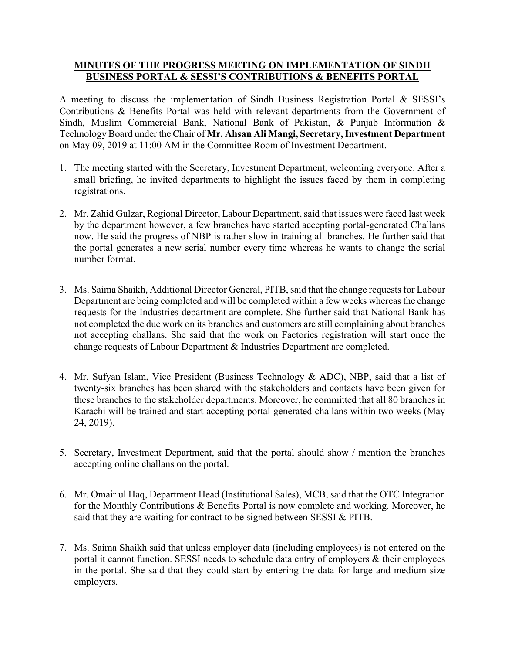## **MINUTES OF THE PROGRESS MEETING ON IMPLEMENTATION OF SINDH BUSINESS PORTAL & SESSI'S CONTRIBUTIONS & BENEFITS PORTAL**

A meeting to discuss the implementation of Sindh Business Registration Portal & SESSI's Contributions & Benefits Portal was held with relevant departments from the Government of Sindh, Muslim Commercial Bank, National Bank of Pakistan, & Punjab Information & Technology Board under the Chair of **Mr. Ahsan Ali Mangi, Secretary, Investment Department** on May 09, 2019 at 11:00 AM in the Committee Room of Investment Department.

- 1. The meeting started with the Secretary, Investment Department, welcoming everyone. After a small briefing, he invited departments to highlight the issues faced by them in completing registrations.
- 2. Mr. Zahid Gulzar, Regional Director, Labour Department, said that issues were faced last week by the department however, a few branches have started accepting portal-generated Challans now. He said the progress of NBP is rather slow in training all branches. He further said that the portal generates a new serial number every time whereas he wants to change the serial number format.
- 3. Ms. Saima Shaikh, Additional Director General, PITB, said that the change requests for Labour Department are being completed and will be completed within a few weeks whereas the change requests for the Industries department are complete. She further said that National Bank has not completed the due work on its branches and customers are still complaining about branches not accepting challans. She said that the work on Factories registration will start once the change requests of Labour Department & Industries Department are completed.
- 4. Mr. Sufyan Islam, Vice President (Business Technology & ADC), NBP, said that a list of twenty-six branches has been shared with the stakeholders and contacts have been given for these branches to the stakeholder departments. Moreover, he committed that all 80 branches in Karachi will be trained and start accepting portal-generated challans within two weeks (May 24, 2019).
- 5. Secretary, Investment Department, said that the portal should show / mention the branches accepting online challans on the portal.
- 6. Mr. Omair ul Haq, Department Head (Institutional Sales), MCB, said that the OTC Integration for the Monthly Contributions & Benefits Portal is now complete and working. Moreover, he said that they are waiting for contract to be signed between SESSI & PITB.
- 7. Ms. Saima Shaikh said that unless employer data (including employees) is not entered on the portal it cannot function. SESSI needs to schedule data entry of employers & their employees in the portal. She said that they could start by entering the data for large and medium size employers.